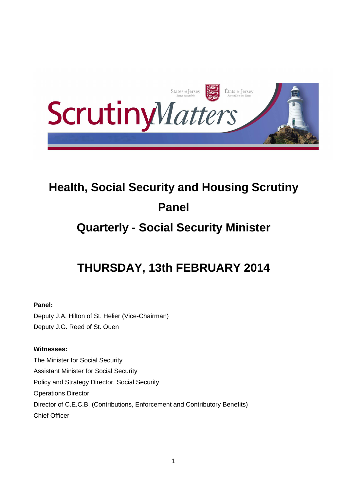

# **Health, Social Security and Housing Scrutiny Panel**

# **Quarterly - Social Security Minister**

# **THURSDAY, 13th FEBRUARY 2014**

# **Panel:**

Deputy J.A. Hilton of St. Helier (Vice-Chairman) Deputy J.G. Reed of St. Ouen

# **Witnesses:**

The Minister for Social Security Assistant Minister for Social Security Policy and Strategy Director, Social Security Operations Director Director of C.E.C.B. (Contributions, Enforcement and Contributory Benefits) Chief Officer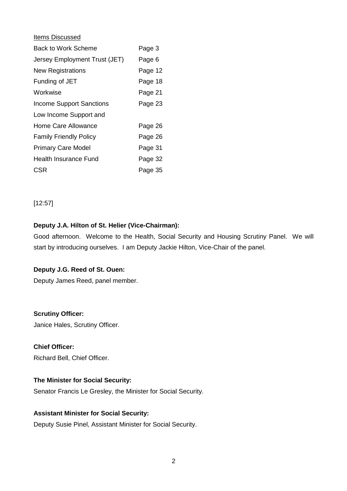#### Items Discussed

| Back to Work Scheme             | Page 3  |
|---------------------------------|---------|
| Jersey Employment Trust (JET)   | Page 6  |
| <b>New Registrations</b>        | Page 12 |
| Funding of JET                  | Page 18 |
| Workwise                        | Page 21 |
| <b>Income Support Sanctions</b> | Page 23 |
| Low Income Support and          |         |
| Home Care Allowance             | Page 26 |
| <b>Family Friendly Policy</b>   | Page 26 |
| <b>Primary Care Model</b>       | Page 31 |
| Health Insurance Fund           | Page 32 |
| CSR                             | Page 35 |

[12:57]

# **Deputy J.A. Hilton of St. Helier (Vice-Chairman):**

Good afternoon. Welcome to the Health, Social Security and Housing Scrutiny Panel. We will start by introducing ourselves. I am Deputy Jackie Hilton, Vice-Chair of the panel.

#### **Deputy J.G. Reed of St. Ouen:**

Deputy James Reed, panel member.

**Scrutiny Officer:**  Janice Hales, Scrutiny Officer.

**Chief Officer:**  Richard Bell, Chief Officer.

#### **The Minister for Social Security:**

Senator Francis Le Gresley, the Minister for Social Security.

#### **Assistant Minister for Social Security:**

Deputy Susie Pinel, Assistant Minister for Social Security.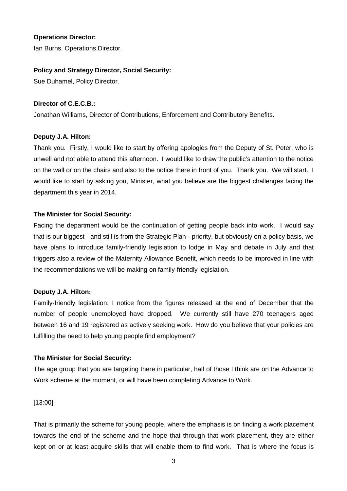#### **Operations Director:**

Ian Burns, Operations Director.

#### **Policy and Strategy Director, Social Security:**

Sue Duhamel, Policy Director.

#### **Director of C.E.C.B.:**

Jonathan Williams, Director of Contributions, Enforcement and Contributory Benefits.

#### **Deputy J.A. Hilton:**

Thank you. Firstly, I would like to start by offering apologies from the Deputy of St. Peter, who is unwell and not able to attend this afternoon. I would like to draw the public's attention to the notice on the wall or on the chairs and also to the notice there in front of you. Thank you. We will start. I would like to start by asking you, Minister, what you believe are the biggest challenges facing the department this year in 2014.

# **The Minister for Social Security:**

Facing the department would be the continuation of getting people back into work. I would say that is our biggest - and still is from the Strategic Plan - priority, but obviously on a policy basis, we have plans to introduce family-friendly legislation to lodge in May and debate in July and that triggers also a review of the Maternity Allowance Benefit, which needs to be improved in line with the recommendations we will be making on family-friendly legislation.

# **Deputy J.A. Hilton:**

Family-friendly legislation: I notice from the figures released at the end of December that the number of people unemployed have dropped. We currently still have 270 teenagers aged between 16 and 19 registered as actively seeking work. How do you believe that your policies are fulfilling the need to help young people find employment?

# **The Minister for Social Security:**

The age group that you are targeting there in particular, half of those I think are on the Advance to Work scheme at the moment, or will have been completing Advance to Work.

[13:00]

That is primarily the scheme for young people, where the emphasis is on finding a work placement towards the end of the scheme and the hope that through that work placement, they are either kept on or at least acquire skills that will enable them to find work. That is where the focus is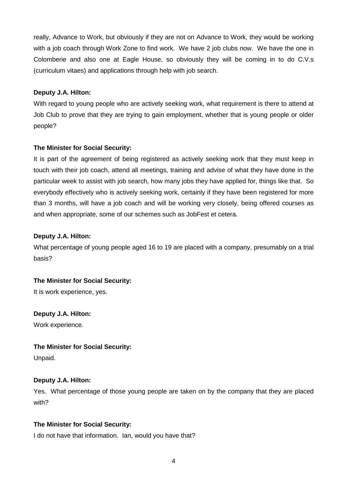really, Advance to Work, but obviously if they are not on Advance to Work, they would be working with a job coach through Work Zone to find work. We have 2 job clubs now. We have the one in Colomberie and also one at Eagle House, so obviously they will be coming in to do C.V.s (curriculum vitaes) and applications through help with job search.

#### **Deputy J.A. Hilton:**

With regard to young people who are actively seeking work, what requirement is there to attend at Job Club to prove that they are trying to gain employment, whether that is young people or older people?

#### **The Minister for Social Security:**

It is part of the agreement of being registered as actively seeking work that they must keep in touch with their job coach, attend all meetings, training and advise of what they have done in the particular week to assist with job search, how many jobs they have applied for, things like that. So everybody effectively who is actively seeking work, certainly if they have been registered for more than 3 months, will have a job coach and will be working very closely, being offered courses as and when appropriate, some of our schemes such as JobFest et cetera.

#### **Deputy J.A. Hilton:**

What percentage of young people aged 16 to 19 are placed with a company, presumably on a trial basis?

#### **The Minister for Social Security:**

It is work experience, yes.

**Deputy J.A. Hilton:** Work experience.

# **The Minister for Social Security:**

Unpaid.

# **Deputy J.A. Hilton:**

Yes. What percentage of those young people are taken on by the company that they are placed with?

#### **The Minister for Social Security:**

I do not have that information. Ian, would you have that?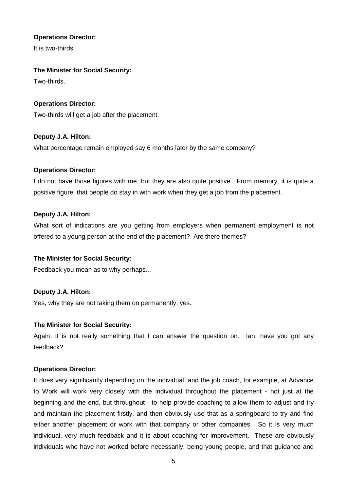#### **Operations Director:**

It is two-thirds.

# **The Minister for Social Security:**

Two-thirds.

#### **Operations Director:**

Two-thirds will get a job after the placement.

#### **Deputy J.A. Hilton:**

What percentage remain employed say 6 months later by the same company?

#### **Operations Director:**

I do not have those figures with me, but they are also quite positive. From memory, it is quite a positive figure, that people do stay in with work when they get a job from the placement.

#### **Deputy J.A. Hilton:**

What sort of indications are you getting from employers when permanent employment is not offered to a young person at the end of the placement? Are there themes?

#### **The Minister for Social Security:**

Feedback you mean as to why perhaps...

# **Deputy J.A. Hilton:**

Yes, why they are not taking them on permanently, yes.

#### **The Minister for Social Security:**

Again, it is not really something that I can answer the question on. Ian, have you got any feedback?

#### **Operations Director:**

It does vary significantly depending on the individual, and the job coach, for example, at Advance to Work will work very closely with the individual throughout the placement - not just at the beginning and the end, but throughout - to help provide coaching to allow them to adjust and try and maintain the placement firstly, and then obviously use that as a springboard to try and find either another placement or work with that company or other companies. So it is very much individual, very much feedback and it is about coaching for improvement. These are obviously individuals who have not worked before necessarily, being young people, and that guidance and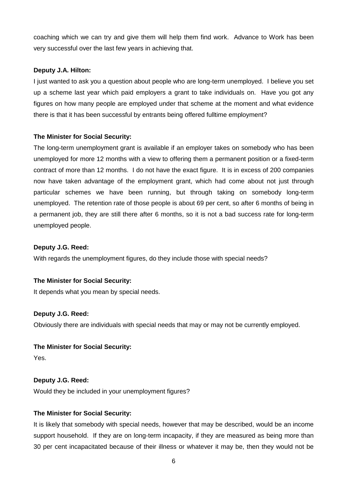coaching which we can try and give them will help them find work. Advance to Work has been very successful over the last few years in achieving that.

#### **Deputy J.A. Hilton:**

I just wanted to ask you a question about people who are long-term unemployed. I believe you set up a scheme last year which paid employers a grant to take individuals on. Have you got any figures on how many people are employed under that scheme at the moment and what evidence there is that it has been successful by entrants being offered fulltime employment?

#### **The Minister for Social Security:**

The long-term unemployment grant is available if an employer takes on somebody who has been unemployed for more 12 months with a view to offering them a permanent position or a fixed-term contract of more than 12 months. I do not have the exact figure. It is in excess of 200 companies now have taken advantage of the employment grant, which had come about not just through particular schemes we have been running, but through taking on somebody long-term unemployed. The retention rate of those people is about 69 per cent, so after 6 months of being in a permanent job, they are still there after 6 months, so it is not a bad success rate for long-term unemployed people.

#### **Deputy J.G. Reed:**

With regards the unemployment figures, do they include those with special needs?

#### **The Minister for Social Security:**

It depends what you mean by special needs.

#### **Deputy J.G. Reed:**

Obviously there are individuals with special needs that may or may not be currently employed.

#### **The Minister for Social Security:**

Yes.

#### **Deputy J.G. Reed:**

Would they be included in your unemployment figures?

# **The Minister for Social Security:**

It is likely that somebody with special needs, however that may be described, would be an income support household. If they are on long-term incapacity, if they are measured as being more than 30 per cent incapacitated because of their illness or whatever it may be, then they would not be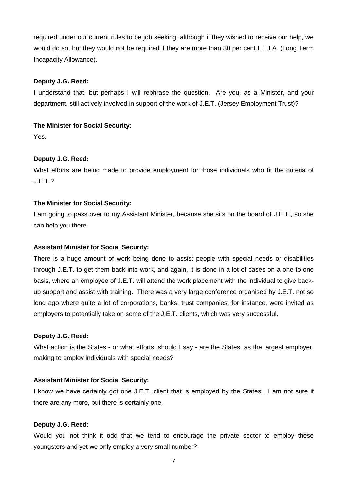required under our current rules to be job seeking, although if they wished to receive our help, we would do so, but they would not be required if they are more than 30 per cent L.T.I.A. (Long Term Incapacity Allowance).

#### **Deputy J.G. Reed:**

I understand that, but perhaps I will rephrase the question. Are you, as a Minister, and your department, still actively involved in support of the work of J.E.T. (Jersey Employment Trust)?

#### **The Minister for Social Security:**

Yes.

#### **Deputy J.G. Reed:**

What efforts are being made to provide employment for those individuals who fit the criteria of J.E.T.?

#### **The Minister for Social Security:**

I am going to pass over to my Assistant Minister, because she sits on the board of J.E.T., so she can help you there.

#### **Assistant Minister for Social Security:**

There is a huge amount of work being done to assist people with special needs or disabilities through J.E.T. to get them back into work, and again, it is done in a lot of cases on a one-to-one basis, where an employee of J.E.T. will attend the work placement with the individual to give backup support and assist with training. There was a very large conference organised by J.E.T. not so long ago where quite a lot of corporations, banks, trust companies, for instance, were invited as employers to potentially take on some of the J.E.T. clients, which was very successful.

#### **Deputy J.G. Reed:**

What action is the States - or what efforts, should I say - are the States, as the largest employer, making to employ individuals with special needs?

#### **Assistant Minister for Social Security:**

I know we have certainly got one J.E.T. client that is employed by the States. I am not sure if there are any more, but there is certainly one.

#### **Deputy J.G. Reed:**

Would you not think it odd that we tend to encourage the private sector to employ these youngsters and yet we only employ a very small number?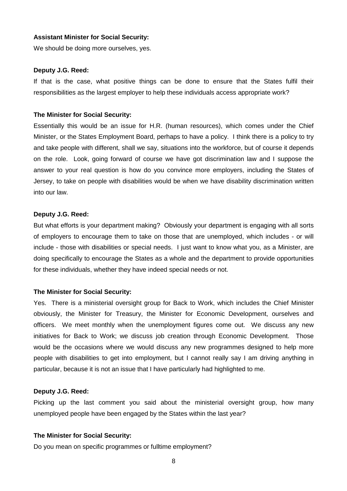#### **Assistant Minister for Social Security:**

We should be doing more ourselves, yes.

#### **Deputy J.G. Reed:**

If that is the case, what positive things can be done to ensure that the States fulfil their responsibilities as the largest employer to help these individuals access appropriate work?

#### **The Minister for Social Security:**

Essentially this would be an issue for H.R. (human resources), which comes under the Chief Minister, or the States Employment Board, perhaps to have a policy. I think there is a policy to try and take people with different, shall we say, situations into the workforce, but of course it depends on the role. Look, going forward of course we have got discrimination law and I suppose the answer to your real question is how do you convince more employers, including the States of Jersey, to take on people with disabilities would be when we have disability discrimination written into our law.

#### **Deputy J.G. Reed:**

But what efforts is your department making? Obviously your department is engaging with all sorts of employers to encourage them to take on those that are unemployed, which includes - or will include - those with disabilities or special needs. I just want to know what you, as a Minister, are doing specifically to encourage the States as a whole and the department to provide opportunities for these individuals, whether they have indeed special needs or not.

#### **The Minister for Social Security:**

Yes. There is a ministerial oversight group for Back to Work, which includes the Chief Minister obviously, the Minister for Treasury, the Minister for Economic Development, ourselves and officers. We meet monthly when the unemployment figures come out. We discuss any new initiatives for Back to Work; we discuss job creation through Economic Development. Those would be the occasions where we would discuss any new programmes designed to help more people with disabilities to get into employment, but I cannot really say I am driving anything in particular, because it is not an issue that I have particularly had highlighted to me.

#### **Deputy J.G. Reed:**

Picking up the last comment you said about the ministerial oversight group, how many unemployed people have been engaged by the States within the last year?

#### **The Minister for Social Security:**

Do you mean on specific programmes or fulltime employment?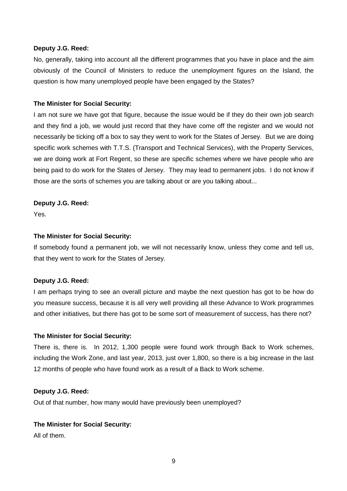No, generally, taking into account all the different programmes that you have in place and the aim obviously of the Council of Ministers to reduce the unemployment figures on the Island, the question is how many unemployed people have been engaged by the States?

#### **The Minister for Social Security:**

I am not sure we have got that figure, because the issue would be if they do their own job search and they find a job, we would just record that they have come off the register and we would not necessarily be ticking off a box to say they went to work for the States of Jersey. But we are doing specific work schemes with T.T.S. (Transport and Technical Services), with the Property Services, we are doing work at Fort Regent, so these are specific schemes where we have people who are being paid to do work for the States of Jersey. They may lead to permanent jobs. I do not know if those are the sorts of schemes you are talking about or are you talking about...

#### **Deputy J.G. Reed:**

Yes.

#### **The Minister for Social Security:**

If somebody found a permanent job, we will not necessarily know, unless they come and tell us, that they went to work for the States of Jersey.

#### **Deputy J.G. Reed:**

I am perhaps trying to see an overall picture and maybe the next question has got to be how do you measure success, because it is all very well providing all these Advance to Work programmes and other initiatives, but there has got to be some sort of measurement of success, has there not?

#### **The Minister for Social Security:**

There is, there is. In 2012, 1,300 people were found work through Back to Work schemes, including the Work Zone, and last year, 2013, just over 1,800, so there is a big increase in the last 12 months of people who have found work as a result of a Back to Work scheme.

#### **Deputy J.G. Reed:**

Out of that number, how many would have previously been unemployed?

#### **The Minister for Social Security:**

All of them.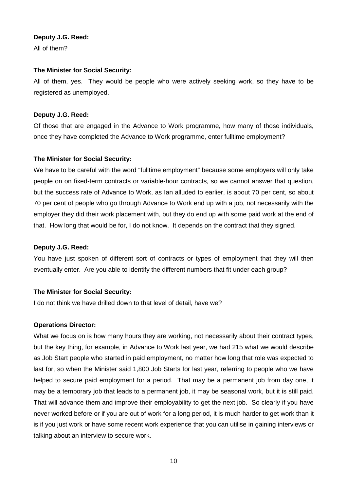All of them?

#### **The Minister for Social Security:**

All of them, yes. They would be people who were actively seeking work, so they have to be registered as unemployed.

#### **Deputy J.G. Reed:**

Of those that are engaged in the Advance to Work programme, how many of those individuals, once they have completed the Advance to Work programme, enter fulltime employment?

#### **The Minister for Social Security:**

We have to be careful with the word "fulltime employment" because some employers will only take people on on fixed-term contracts or variable-hour contracts, so we cannot answer that question, but the success rate of Advance to Work, as Ian alluded to earlier, is about 70 per cent, so about 70 per cent of people who go through Advance to Work end up with a job, not necessarily with the employer they did their work placement with, but they do end up with some paid work at the end of that. How long that would be for, I do not know. It depends on the contract that they signed.

#### **Deputy J.G. Reed:**

You have just spoken of different sort of contracts or types of employment that they will then eventually enter. Are you able to identify the different numbers that fit under each group?

#### **The Minister for Social Security:**

I do not think we have drilled down to that level of detail, have we?

#### **Operations Director:**

What we focus on is how many hours they are working, not necessarily about their contract types, but the key thing, for example, in Advance to Work last year, we had 215 what we would describe as Job Start people who started in paid employment, no matter how long that role was expected to last for, so when the Minister said 1,800 Job Starts for last year, referring to people who we have helped to secure paid employment for a period. That may be a permanent job from day one, it may be a temporary job that leads to a permanent job, it may be seasonal work, but it is still paid. That will advance them and improve their employability to get the next job. So clearly if you have never worked before or if you are out of work for a long period, it is much harder to get work than it is if you just work or have some recent work experience that you can utilise in gaining interviews or talking about an interview to secure work.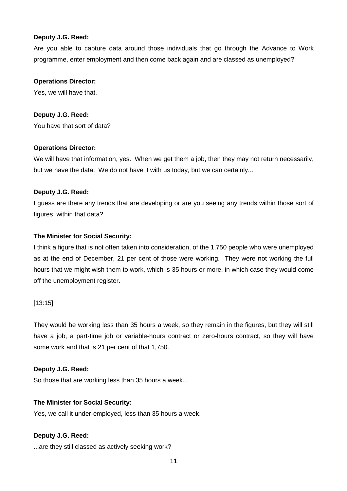Are you able to capture data around those individuals that go through the Advance to Work programme, enter employment and then come back again and are classed as unemployed?

#### **Operations Director:**

Yes, we will have that.

#### **Deputy J.G. Reed:**

You have that sort of data?

#### **Operations Director:**

We will have that information, yes. When we get them a job, then they may not return necessarily, but we have the data. We do not have it with us today, but we can certainly...

#### **Deputy J.G. Reed:**

I guess are there any trends that are developing or are you seeing any trends within those sort of figures, within that data?

#### **The Minister for Social Security:**

I think a figure that is not often taken into consideration, of the 1,750 people who were unemployed as at the end of December, 21 per cent of those were working. They were not working the full hours that we might wish them to work, which is 35 hours or more, in which case they would come off the unemployment register.

#### [13:15]

They would be working less than 35 hours a week, so they remain in the figures, but they will still have a job, a part-time job or variable-hours contract or zero-hours contract, so they will have some work and that is 21 per cent of that 1,750.

#### **Deputy J.G. Reed:**

So those that are working less than 35 hours a week...

#### **The Minister for Social Security:**

Yes, we call it under-employed, less than 35 hours a week.

#### **Deputy J.G. Reed:**

...are they still classed as actively seeking work?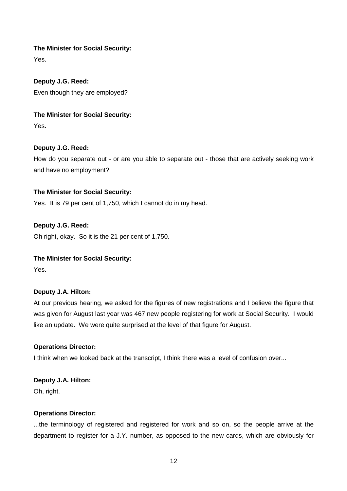#### **The Minister for Social Security:**

Yes.

**Deputy J.G. Reed:** Even though they are employed?

# **The Minister for Social Security:**

Yes.

# **Deputy J.G. Reed:**

How do you separate out - or are you able to separate out - those that are actively seeking work and have no employment?

# **The Minister for Social Security:**

Yes. It is 79 per cent of 1,750, which I cannot do in my head.

# **Deputy J.G. Reed:**

Oh right, okay. So it is the 21 per cent of 1,750.

# **The Minister for Social Security:**

Yes.

# **Deputy J.A. Hilton:**

At our previous hearing, we asked for the figures of new registrations and I believe the figure that was given for August last year was 467 new people registering for work at Social Security. I would like an update. We were quite surprised at the level of that figure for August.

#### **Operations Director:**

I think when we looked back at the transcript, I think there was a level of confusion over...

# **Deputy J.A. Hilton:**

Oh, right.

#### **Operations Director:**

...the terminology of registered and registered for work and so on, so the people arrive at the department to register for a J.Y. number, as opposed to the new cards, which are obviously for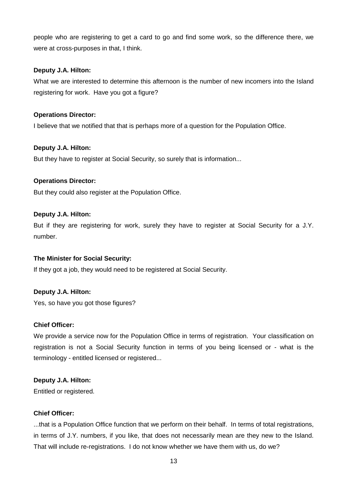people who are registering to get a card to go and find some work, so the difference there, we were at cross-purposes in that, I think.

#### **Deputy J.A. Hilton:**

What we are interested to determine this afternoon is the number of new incomers into the Island registering for work. Have you got a figure?

#### **Operations Director:**

I believe that we notified that that is perhaps more of a question for the Population Office.

#### **Deputy J.A. Hilton:**

But they have to register at Social Security, so surely that is information...

#### **Operations Director:**

But they could also register at the Population Office.

#### **Deputy J.A. Hilton:**

But if they are registering for work, surely they have to register at Social Security for a J.Y. number.

# **The Minister for Social Security:**

If they got a job, they would need to be registered at Social Security.

# **Deputy J.A. Hilton:**

Yes, so have you got those figures?

# **Chief Officer:**

We provide a service now for the Population Office in terms of registration. Your classification on registration is not a Social Security function in terms of you being licensed or - what is the terminology - entitled licensed or registered...

#### **Deputy J.A. Hilton:**

Entitled or registered.

# **Chief Officer:**

...that is a Population Office function that we perform on their behalf. In terms of total registrations, in terms of J.Y. numbers, if you like, that does not necessarily mean are they new to the Island. That will include re-registrations. I do not know whether we have them with us, do we?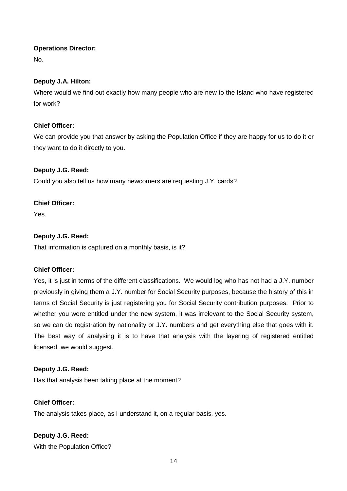#### **Operations Director:**

No.

# **Deputy J.A. Hilton:**

Where would we find out exactly how many people who are new to the Island who have registered for work?

# **Chief Officer:**

We can provide you that answer by asking the Population Office if they are happy for us to do it or they want to do it directly to you.

# **Deputy J.G. Reed:**

Could you also tell us how many newcomers are requesting J.Y. cards?

# **Chief Officer:**

Yes.

# **Deputy J.G. Reed:**

That information is captured on a monthly basis, is it?

# **Chief Officer:**

Yes, it is just in terms of the different classifications. We would log who has not had a J.Y. number previously in giving them a J.Y. number for Social Security purposes, because the history of this in terms of Social Security is just registering you for Social Security contribution purposes. Prior to whether you were entitled under the new system, it was irrelevant to the Social Security system, so we can do registration by nationality or J.Y. numbers and get everything else that goes with it. The best way of analysing it is to have that analysis with the layering of registered entitled licensed, we would suggest.

# **Deputy J.G. Reed:**

Has that analysis been taking place at the moment?

# **Chief Officer:**

The analysis takes place, as I understand it, on a regular basis, yes.

# **Deputy J.G. Reed:**

With the Population Office?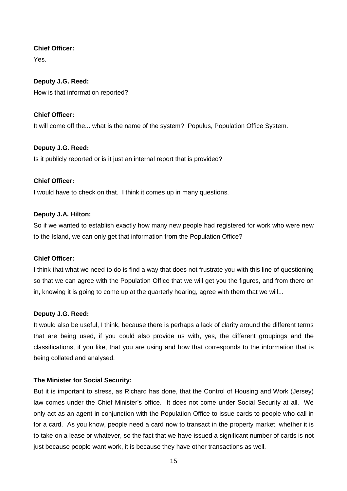#### **Chief Officer:**

Yes.

# **Deputy J.G. Reed:**

How is that information reported?

# **Chief Officer:**

It will come off the... what is the name of the system? Populus, Population Office System.

# **Deputy J.G. Reed:**

Is it publicly reported or is it just an internal report that is provided?

# **Chief Officer:**

I would have to check on that. I think it comes up in many questions.

# **Deputy J.A. Hilton:**

So if we wanted to establish exactly how many new people had registered for work who were new to the Island, we can only get that information from the Population Office?

# **Chief Officer:**

I think that what we need to do is find a way that does not frustrate you with this line of questioning so that we can agree with the Population Office that we will get you the figures, and from there on in, knowing it is going to come up at the quarterly hearing, agree with them that we will...

# **Deputy J.G. Reed:**

It would also be useful, I think, because there is perhaps a lack of clarity around the different terms that are being used, if you could also provide us with, yes, the different groupings and the classifications, if you like, that you are using and how that corresponds to the information that is being collated and analysed.

# **The Minister for Social Security:**

But it is important to stress, as Richard has done, that the Control of Housing and Work (Jersey) law comes under the Chief Minister's office. It does not come under Social Security at all. We only act as an agent in conjunction with the Population Office to issue cards to people who call in for a card. As you know, people need a card now to transact in the property market, whether it is to take on a lease or whatever, so the fact that we have issued a significant number of cards is not just because people want work, it is because they have other transactions as well.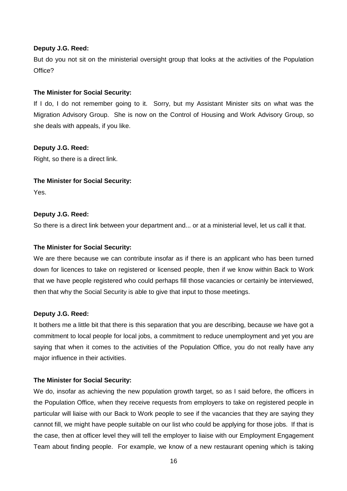But do you not sit on the ministerial oversight group that looks at the activities of the Population Office?

#### **The Minister for Social Security:**

If I do, I do not remember going to it. Sorry, but my Assistant Minister sits on what was the Migration Advisory Group. She is now on the Control of Housing and Work Advisory Group, so she deals with appeals, if you like.

#### **Deputy J.G. Reed:**

Right, so there is a direct link.

#### **The Minister for Social Security:**

Yes.

#### **Deputy J.G. Reed:**

So there is a direct link between your department and... or at a ministerial level, let us call it that.

#### **The Minister for Social Security:**

We are there because we can contribute insofar as if there is an applicant who has been turned down for licences to take on registered or licensed people, then if we know within Back to Work that we have people registered who could perhaps fill those vacancies or certainly be interviewed, then that why the Social Security is able to give that input to those meetings.

#### **Deputy J.G. Reed:**

It bothers me a little bit that there is this separation that you are describing, because we have got a commitment to local people for local jobs, a commitment to reduce unemployment and yet you are saying that when it comes to the activities of the Population Office, you do not really have any major influence in their activities.

#### **The Minister for Social Security:**

We do, insofar as achieving the new population growth target, so as I said before, the officers in the Population Office, when they receive requests from employers to take on registered people in particular will liaise with our Back to Work people to see if the vacancies that they are saying they cannot fill, we might have people suitable on our list who could be applying for those jobs. If that is the case, then at officer level they will tell the employer to liaise with our Employment Engagement Team about finding people. For example, we know of a new restaurant opening which is taking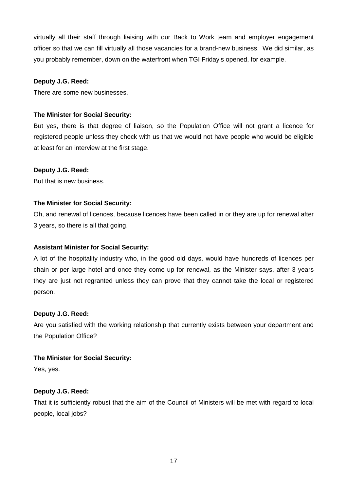virtually all their staff through liaising with our Back to Work team and employer engagement officer so that we can fill virtually all those vacancies for a brand-new business. We did similar, as you probably remember, down on the waterfront when TGI Friday's opened, for example.

#### **Deputy J.G. Reed:**

There are some new businesses.

# **The Minister for Social Security:**

But yes, there is that degree of liaison, so the Population Office will not grant a licence for registered people unless they check with us that we would not have people who would be eligible at least for an interview at the first stage.

#### **Deputy J.G. Reed:**

But that is new business.

#### **The Minister for Social Security:**

Oh, and renewal of licences, because licences have been called in or they are up for renewal after 3 years, so there is all that going.

#### **Assistant Minister for Social Security:**

A lot of the hospitality industry who, in the good old days, would have hundreds of licences per chain or per large hotel and once they come up for renewal, as the Minister says, after 3 years they are just not regranted unless they can prove that they cannot take the local or registered person.

#### **Deputy J.G. Reed:**

Are you satisfied with the working relationship that currently exists between your department and the Population Office?

# **The Minister for Social Security:**

Yes, yes.

#### **Deputy J.G. Reed:**

That it is sufficiently robust that the aim of the Council of Ministers will be met with regard to local people, local jobs?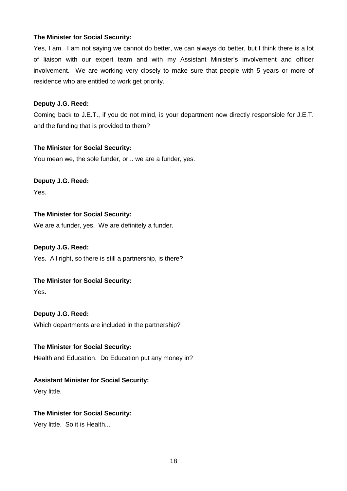#### **The Minister for Social Security:**

Yes, I am. I am not saying we cannot do better, we can always do better, but I think there is a lot of liaison with our expert team and with my Assistant Minister's involvement and officer involvement. We are working very closely to make sure that people with 5 years or more of residence who are entitled to work get priority.

#### **Deputy J.G. Reed:**

Coming back to J.E.T., if you do not mind, is your department now directly responsible for J.E.T. and the funding that is provided to them?

#### **The Minister for Social Security:**

You mean we, the sole funder, or... we are a funder, yes.

#### **Deputy J.G. Reed:**

Yes.

# **The Minister for Social Security:**

We are a funder, yes. We are definitely a funder.

#### **Deputy J.G. Reed:**

Yes. All right, so there is still a partnership, is there?

# **The Minister for Social Security:**

Yes.

# **Deputy J.G. Reed:**

Which departments are included in the partnership?

#### **The Minister for Social Security:**

Health and Education. Do Education put any money in?

# **Assistant Minister for Social Security:**

Very little.

# **The Minister for Social Security:**

Very little. So it is Health...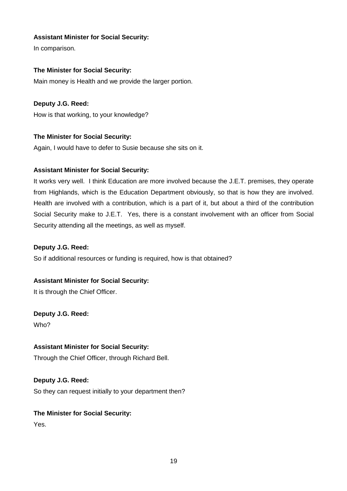# **Assistant Minister for Social Security:**

In comparison.

#### **The Minister for Social Security:**

Main money is Health and we provide the larger portion.

#### **Deputy J.G. Reed:**

How is that working, to your knowledge?

#### **The Minister for Social Security:**

Again, I would have to defer to Susie because she sits on it.

#### **Assistant Minister for Social Security:**

It works very well. I think Education are more involved because the J.E.T. premises, they operate from Highlands, which is the Education Department obviously, so that is how they are involved. Health are involved with a contribution, which is a part of it, but about a third of the contribution Social Security make to J.E.T. Yes, there is a constant involvement with an officer from Social Security attending all the meetings, as well as myself.

#### **Deputy J.G. Reed:**

So if additional resources or funding is required, how is that obtained?

# **Assistant Minister for Social Security:**

It is through the Chief Officer.

# **Deputy J.G. Reed:**

Who?

# **Assistant Minister for Social Security:**

Through the Chief Officer, through Richard Bell.

#### **Deputy J.G. Reed:**

So they can request initially to your department then?

# **The Minister for Social Security:**

Yes.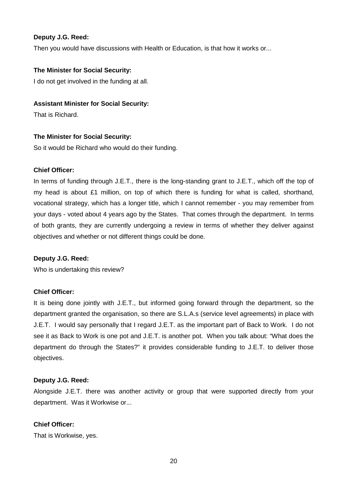Then you would have discussions with Health or Education, is that how it works or...

#### **The Minister for Social Security:**

I do not get involved in the funding at all.

#### **Assistant Minister for Social Security:**

That is Richard.

#### **The Minister for Social Security:**

So it would be Richard who would do their funding.

#### **Chief Officer:**

In terms of funding through J.E.T., there is the long-standing grant to J.E.T., which off the top of my head is about  $£1$  million, on top of which there is funding for what is called, shorthand, vocational strategy, which has a longer title, which I cannot remember - you may remember from your days - voted about 4 years ago by the States. That comes through the department. In terms of both grants, they are currently undergoing a review in terms of whether they deliver against objectives and whether or not different things could be done.

#### **Deputy J.G. Reed:**

Who is undertaking this review?

#### **Chief Officer:**

It is being done jointly with J.E.T., but informed going forward through the department, so the department granted the organisation, so there are S.L.A.s (service level agreements) in place with J.E.T. I would say personally that I regard J.E.T. as the important part of Back to Work. I do not see it as Back to Work is one pot and J.E.T. is another pot. When you talk about: "What does the department do through the States?" it provides considerable funding to J.E.T. to deliver those objectives.

#### **Deputy J.G. Reed:**

Alongside J.E.T. there was another activity or group that were supported directly from your department. Was it Workwise or...

#### **Chief Officer:**

That is Workwise, yes.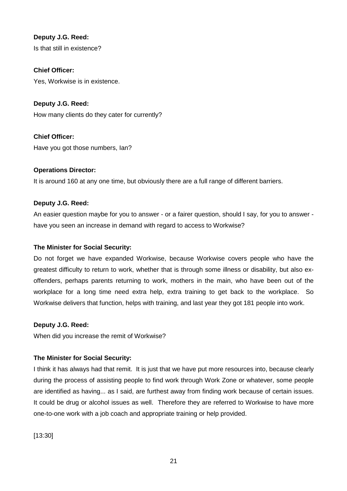**Deputy J.G. Reed:** Is that still in existence?

**Chief Officer:**  Yes, Workwise is in existence.

**Deputy J.G. Reed:** How many clients do they cater for currently?

**Chief Officer:**  Have you got those numbers, Ian?

# **Operations Director:**

It is around 160 at any one time, but obviously there are a full range of different barriers.

# **Deputy J.G. Reed:**

An easier question maybe for you to answer - or a fairer question, should I say, for you to answer have you seen an increase in demand with regard to access to Workwise?

# **The Minister for Social Security:**

Do not forget we have expanded Workwise, because Workwise covers people who have the greatest difficulty to return to work, whether that is through some illness or disability, but also exoffenders, perhaps parents returning to work, mothers in the main, who have been out of the workplace for a long time need extra help, extra training to get back to the workplace. So Workwise delivers that function, helps with training, and last year they got 181 people into work.

#### **Deputy J.G. Reed:**

When did you increase the remit of Workwise?

# **The Minister for Social Security:**

I think it has always had that remit. It is just that we have put more resources into, because clearly during the process of assisting people to find work through Work Zone or whatever, some people are identified as having... as I said, are furthest away from finding work because of certain issues. It could be drug or alcohol issues as well. Therefore they are referred to Workwise to have more one-to-one work with a job coach and appropriate training or help provided.

[13:30]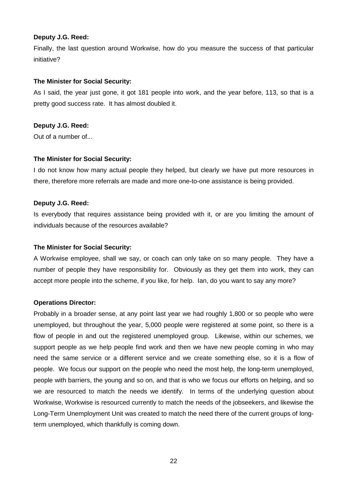Finally, the last question around Workwise, how do you measure the success of that particular initiative?

#### **The Minister for Social Security:**

As I said, the year just gone, it got 181 people into work, and the year before, 113, so that is a pretty good success rate. It has almost doubled it.

#### **Deputy J.G. Reed:**

Out of a number of...

#### **The Minister for Social Security:**

I do not know how many actual people they helped, but clearly we have put more resources in there, therefore more referrals are made and more one-to-one assistance is being provided.

#### **Deputy J.G. Reed:**

Is everybody that requires assistance being provided with it, or are you limiting the amount of individuals because of the resources available?

#### **The Minister for Social Security:**

A Workwise employee, shall we say, or coach can only take on so many people. They have a number of people they have responsibility for. Obviously as they get them into work, they can accept more people into the scheme, if you like, for help. Ian, do you want to say any more?

#### **Operations Director:**

Probably in a broader sense, at any point last year we had roughly 1,800 or so people who were unemployed, but throughout the year, 5,000 people were registered at some point, so there is a flow of people in and out the registered unemployed group. Likewise, within our schemes, we support people as we help people find work and then we have new people coming in who may need the same service or a different service and we create something else, so it is a flow of people. We focus our support on the people who need the most help, the long-term unemployed, people with barriers, the young and so on, and that is who we focus our efforts on helping, and so we are resourced to match the needs we identify. In terms of the underlying question about Workwise, Workwise is resourced currently to match the needs of the jobseekers, and likewise the Long-Term Unemployment Unit was created to match the need there of the current groups of longterm unemployed, which thankfully is coming down.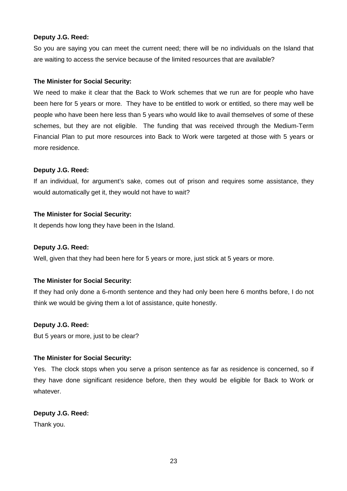So you are saying you can meet the current need; there will be no individuals on the Island that are waiting to access the service because of the limited resources that are available?

#### **The Minister for Social Security:**

We need to make it clear that the Back to Work schemes that we run are for people who have been here for 5 years or more. They have to be entitled to work or entitled, so there may well be people who have been here less than 5 years who would like to avail themselves of some of these schemes, but they are not eligible. The funding that was received through the Medium-Term Financial Plan to put more resources into Back to Work were targeted at those with 5 years or more residence.

#### **Deputy J.G. Reed:**

If an individual, for argument's sake, comes out of prison and requires some assistance, they would automatically get it, they would not have to wait?

#### **The Minister for Social Security:**

It depends how long they have been in the Island.

#### **Deputy J.G. Reed:**

Well, given that they had been here for 5 years or more, just stick at 5 years or more.

# **The Minister for Social Security:**

If they had only done a 6-month sentence and they had only been here 6 months before, I do not think we would be giving them a lot of assistance, quite honestly.

#### **Deputy J.G. Reed:**

But 5 years or more, just to be clear?

# **The Minister for Social Security:**

Yes. The clock stops when you serve a prison sentence as far as residence is concerned, so if they have done significant residence before, then they would be eligible for Back to Work or whatever.

# **Deputy J.G. Reed:**

Thank you.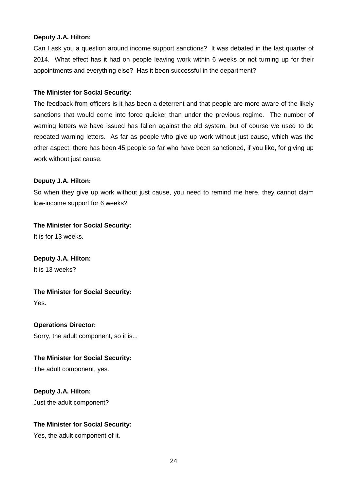#### **Deputy J.A. Hilton:**

Can I ask you a question around income support sanctions? It was debated in the last quarter of 2014. What effect has it had on people leaving work within 6 weeks or not turning up for their appointments and everything else? Has it been successful in the department?

#### **The Minister for Social Security:**

The feedback from officers is it has been a deterrent and that people are more aware of the likely sanctions that would come into force quicker than under the previous regime. The number of warning letters we have issued has fallen against the old system, but of course we used to do repeated warning letters. As far as people who give up work without just cause, which was the other aspect, there has been 45 people so far who have been sanctioned, if you like, for giving up work without just cause.

#### **Deputy J.A. Hilton:**

So when they give up work without just cause, you need to remind me here, they cannot claim low-income support for 6 weeks?

# **The Minister for Social Security:**

It is for 13 weeks.

**Deputy J.A. Hilton:**

It is 13 weeks?

**The Minister for Social Security:** 

Yes.

# **Operations Director:**

Sorry, the adult component, so it is...

# **The Minister for Social Security:**

The adult component, yes.

**Deputy J.A. Hilton:** Just the adult component?

# **The Minister for Social Security:**

Yes, the adult component of it.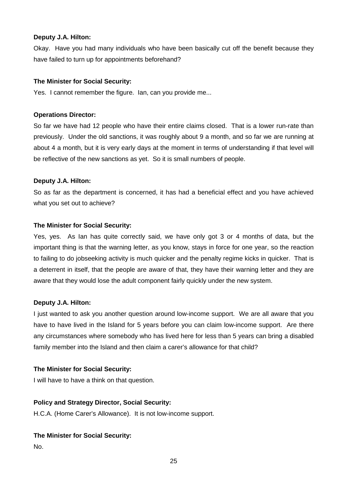#### **Deputy J.A. Hilton:**

Okay. Have you had many individuals who have been basically cut off the benefit because they have failed to turn up for appointments beforehand?

#### **The Minister for Social Security:**

Yes. I cannot remember the figure. Ian, can you provide me...

#### **Operations Director:**

So far we have had 12 people who have their entire claims closed. That is a lower run-rate than previously. Under the old sanctions, it was roughly about 9 a month, and so far we are running at about 4 a month, but it is very early days at the moment in terms of understanding if that level will be reflective of the new sanctions as yet. So it is small numbers of people.

#### **Deputy J.A. Hilton:**

So as far as the department is concerned, it has had a beneficial effect and you have achieved what you set out to achieve?

#### **The Minister for Social Security:**

Yes, yes. As Ian has quite correctly said, we have only got 3 or 4 months of data, but the important thing is that the warning letter, as you know, stays in force for one year, so the reaction to failing to do jobseeking activity is much quicker and the penalty regime kicks in quicker. That is a deterrent in itself, that the people are aware of that, they have their warning letter and they are aware that they would lose the adult component fairly quickly under the new system.

#### **Deputy J.A. Hilton:**

I just wanted to ask you another question around low-income support. We are all aware that you have to have lived in the Island for 5 years before you can claim low-income support. Are there any circumstances where somebody who has lived here for less than 5 years can bring a disabled family member into the Island and then claim a carer's allowance for that child?

#### **The Minister for Social Security:**

I will have to have a think on that question.

# **Policy and Strategy Director, Social Security:**

H.C.A. (Home Carer's Allowance). It is not low-income support.

# **The Minister for Social Security:**

No.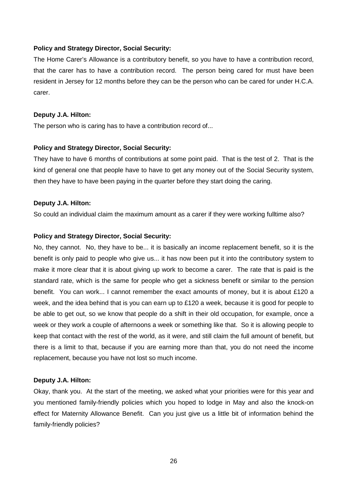#### **Policy and Strategy Director, Social Security:**

The Home Carer's Allowance is a contributory benefit, so you have to have a contribution record, that the carer has to have a contribution record. The person being cared for must have been resident in Jersey for 12 months before they can be the person who can be cared for under H.C.A. carer.

#### **Deputy J.A. Hilton:**

The person who is caring has to have a contribution record of...

#### **Policy and Strategy Director, Social Security:**

They have to have 6 months of contributions at some point paid. That is the test of 2. That is the kind of general one that people have to have to get any money out of the Social Security system, then they have to have been paying in the quarter before they start doing the caring.

#### **Deputy J.A. Hilton:**

So could an individual claim the maximum amount as a carer if they were working fulltime also?

#### **Policy and Strategy Director, Social Security:**

No, they cannot. No, they have to be... it is basically an income replacement benefit, so it is the benefit is only paid to people who give us... it has now been put it into the contributory system to make it more clear that it is about giving up work to become a carer. The rate that is paid is the standard rate, which is the same for people who get a sickness benefit or similar to the pension benefit. You can work... I cannot remember the exact amounts of money, but it is about £120 a week, and the idea behind that is you can earn up to £120 a week, because it is good for people to be able to get out, so we know that people do a shift in their old occupation, for example, once a week or they work a couple of afternoons a week or something like that. So it is allowing people to keep that contact with the rest of the world, as it were, and still claim the full amount of benefit, but there is a limit to that, because if you are earning more than that, you do not need the income replacement, because you have not lost so much income.

#### **Deputy J.A. Hilton:**

Okay, thank you. At the start of the meeting, we asked what your priorities were for this year and you mentioned family-friendly policies which you hoped to lodge in May and also the knock-on effect for Maternity Allowance Benefit. Can you just give us a little bit of information behind the family-friendly policies?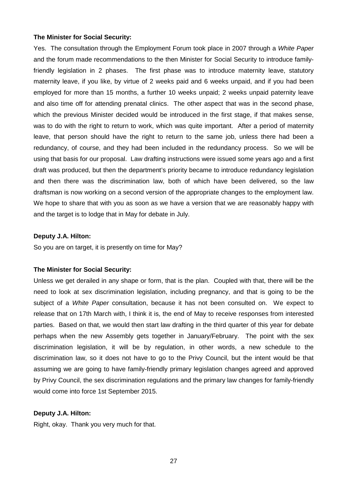#### **The Minister for Social Security:**

Yes. The consultation through the Employment Forum took place in 2007 through a White Paper and the forum made recommendations to the then Minister for Social Security to introduce familyfriendly legislation in 2 phases. The first phase was to introduce maternity leave, statutory maternity leave, if you like, by virtue of 2 weeks paid and 6 weeks unpaid, and if you had been employed for more than 15 months, a further 10 weeks unpaid; 2 weeks unpaid paternity leave and also time off for attending prenatal clinics. The other aspect that was in the second phase, which the previous Minister decided would be introduced in the first stage, if that makes sense, was to do with the right to return to work, which was quite important. After a period of maternity leave, that person should have the right to return to the same job, unless there had been a redundancy, of course, and they had been included in the redundancy process. So we will be using that basis for our proposal. Law drafting instructions were issued some years ago and a first draft was produced, but then the department's priority became to introduce redundancy legislation and then there was the discrimination law, both of which have been delivered, so the law draftsman is now working on a second version of the appropriate changes to the employment law. We hope to share that with you as soon as we have a version that we are reasonably happy with and the target is to lodge that in May for debate in July.

#### **Deputy J.A. Hilton:**

So you are on target, it is presently on time for May?

#### **The Minister for Social Security:**

Unless we get derailed in any shape or form, that is the plan. Coupled with that, there will be the need to look at sex discrimination legislation, including pregnancy, and that is going to be the subject of a White Paper consultation, because it has not been consulted on. We expect to release that on 17th March with, I think it is, the end of May to receive responses from interested parties. Based on that, we would then start law drafting in the third quarter of this year for debate perhaps when the new Assembly gets together in January/February. The point with the sex discrimination legislation, it will be by regulation, in other words, a new schedule to the discrimination law, so it does not have to go to the Privy Council, but the intent would be that assuming we are going to have family-friendly primary legislation changes agreed and approved by Privy Council, the sex discrimination regulations and the primary law changes for family-friendly would come into force 1st September 2015.

#### **Deputy J.A. Hilton:**

Right, okay. Thank you very much for that.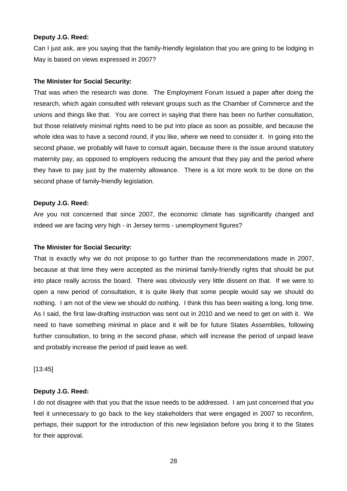Can I just ask, are you saying that the family-friendly legislation that you are going to be lodging in May is based on views expressed in 2007?

#### **The Minister for Social Security:**

That was when the research was done. The Employment Forum issued a paper after doing the research, which again consulted with relevant groups such as the Chamber of Commerce and the unions and things like that. You are correct in saying that there has been no further consultation, but those relatively minimal rights need to be put into place as soon as possible, and because the whole idea was to have a second round, if you like, where we need to consider it. In going into the second phase, we probably will have to consult again, because there is the issue around statutory maternity pay, as opposed to employers reducing the amount that they pay and the period where they have to pay just by the maternity allowance. There is a lot more work to be done on the second phase of family-friendly legislation.

#### **Deputy J.G. Reed:**

Are you not concerned that since 2007, the economic climate has significantly changed and indeed we are facing very high - in Jersey terms - unemployment figures?

#### **The Minister for Social Security:**

That is exactly why we do not propose to go further than the recommendations made in 2007, because at that time they were accepted as the minimal family-friendly rights that should be put into place really across the board. There was obviously very little dissent on that. If we were to open a new period of consultation, it is quite likely that some people would say we should do nothing. I am not of the view we should do nothing. I think this has been waiting a long, long time. As I said, the first law-drafting instruction was sent out in 2010 and we need to get on with it. We need to have something minimal in place and it will be for future States Assemblies, following further consultation, to bring in the second phase, which will increase the period of unpaid leave and probably increase the period of paid leave as well.

[13:45]

#### **Deputy J.G. Reed:**

I do not disagree with that you that the issue needs to be addressed. I am just concerned that you feel it unnecessary to go back to the key stakeholders that were engaged in 2007 to reconfirm, perhaps, their support for the introduction of this new legislation before you bring it to the States for their approval.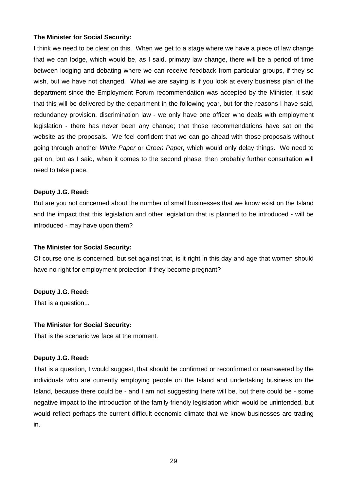#### **The Minister for Social Security:**

I think we need to be clear on this. When we get to a stage where we have a piece of law change that we can lodge, which would be, as I said, primary law change, there will be a period of time between lodging and debating where we can receive feedback from particular groups, if they so wish, but we have not changed. What we are saying is if you look at every business plan of the department since the Employment Forum recommendation was accepted by the Minister, it said that this will be delivered by the department in the following year, but for the reasons I have said, redundancy provision, discrimination law - we only have one officer who deals with employment legislation - there has never been any change; that those recommendations have sat on the website as the proposals. We feel confident that we can go ahead with those proposals without going through another White Paper or Green Paper, which would only delay things. We need to get on, but as I said, when it comes to the second phase, then probably further consultation will need to take place.

#### **Deputy J.G. Reed:**

But are you not concerned about the number of small businesses that we know exist on the Island and the impact that this legislation and other legislation that is planned to be introduced - will be introduced - may have upon them?

#### **The Minister for Social Security:**

Of course one is concerned, but set against that, is it right in this day and age that women should have no right for employment protection if they become pregnant?

#### **Deputy J.G. Reed:**

That is a question...

#### **The Minister for Social Security:**

That is the scenario we face at the moment.

#### **Deputy J.G. Reed:**

That is a question, I would suggest, that should be confirmed or reconfirmed or reanswered by the individuals who are currently employing people on the Island and undertaking business on the Island, because there could be - and I am not suggesting there will be, but there could be - some negative impact to the introduction of the family-friendly legislation which would be unintended, but would reflect perhaps the current difficult economic climate that we know businesses are trading in.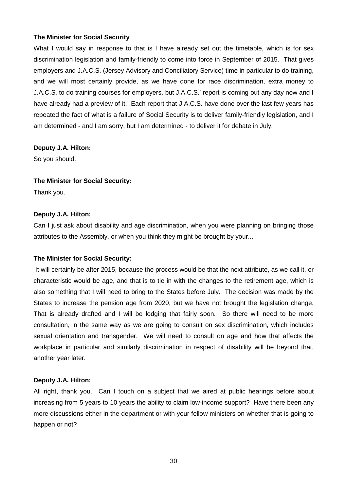#### **The Minister for Social Security**

What I would say in response to that is I have already set out the timetable, which is for sex discrimination legislation and family-friendly to come into force in September of 2015. That gives employers and J.A.C.S. (Jersey Advisory and Conciliatory Service) time in particular to do training, and we will most certainly provide, as we have done for race discrimination, extra money to J.A.C.S. to do training courses for employers, but J.A.C.S.' report is coming out any day now and I have already had a preview of it. Each report that J.A.C.S. have done over the last few years has repeated the fact of what is a failure of Social Security is to deliver family-friendly legislation, and I am determined - and I am sorry, but I am determined - to deliver it for debate in July.

#### **Deputy J.A. Hilton:**

So you should.

#### **The Minister for Social Security:**

Thank you.

#### **Deputy J.A. Hilton:**

Can I just ask about disability and age discrimination, when you were planning on bringing those attributes to the Assembly, or when you think they might be brought by your...

#### **The Minister for Social Security:**

 It will certainly be after 2015, because the process would be that the next attribute, as we call it, or characteristic would be age, and that is to tie in with the changes to the retirement age, which is also something that I will need to bring to the States before July. The decision was made by the States to increase the pension age from 2020, but we have not brought the legislation change. That is already drafted and I will be lodging that fairly soon. So there will need to be more consultation, in the same way as we are going to consult on sex discrimination, which includes sexual orientation and transgender. We will need to consult on age and how that affects the workplace in particular and similarly discrimination in respect of disability will be beyond that, another year later.

#### **Deputy J.A. Hilton:**

All right, thank you. Can I touch on a subject that we aired at public hearings before about increasing from 5 years to 10 years the ability to claim low-income support? Have there been any more discussions either in the department or with your fellow ministers on whether that is going to happen or not?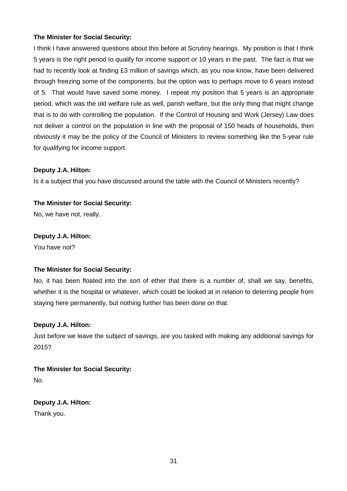#### **The Minister for Social Security:**

I think I have answered questions about this before at Scrutiny hearings. My position is that I think 5 years is the right period to qualify for income support or 10 years in the past. The fact is that we had to recently look at finding £3 million of savings which, as you now know, have been delivered through freezing some of the components, but the option was to perhaps move to 6 years instead of 5. That would have saved some money. I repeat my position that 5 years is an appropriate period, which was the old welfare rule as well, parish welfare, but the only thing that might change that is to do with controlling the population. If the Control of Housing and Work (Jersey) Law does not deliver a control on the population in line with the proposal of 150 heads of households, then obviously it may be the policy of the Council of Ministers to review something like the 5-year rule for qualifying for income support.

#### **Deputy J.A. Hilton:**

Is it a subject that you have discussed around the table with the Council of Ministers recently?

# **The Minister for Social Security:**

No, we have not, really.

#### **Deputy J.A. Hilton:**

You have not?

#### **The Minister for Social Security:**

No, it has been floated into the sort of ether that there is a number of, shall we say, benefits, whether it is the hospital or whatever, which could be looked at in relation to deterring people from staying here permanently, but nothing further has been done on that.

#### **Deputy J.A. Hilton:**

Just before we leave the subject of savings, are you tasked with making any additional savings for 2015?

**The Minister for Social Security:** No.

**Deputy J.A. Hilton:** Thank you.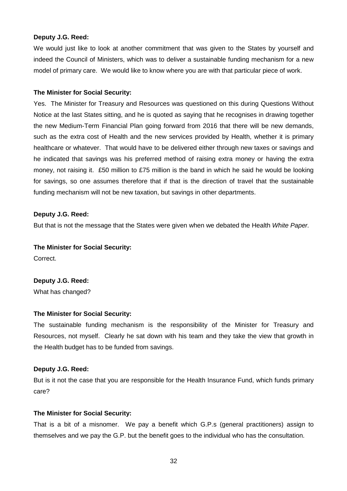We would just like to look at another commitment that was given to the States by yourself and indeed the Council of Ministers, which was to deliver a sustainable funding mechanism for a new model of primary care. We would like to know where you are with that particular piece of work.

#### **The Minister for Social Security:**

Yes. The Minister for Treasury and Resources was questioned on this during Questions Without Notice at the last States sitting, and he is quoted as saying that he recognises in drawing together the new Medium-Term Financial Plan going forward from 2016 that there will be new demands, such as the extra cost of Health and the new services provided by Health, whether it is primary healthcare or whatever. That would have to be delivered either through new taxes or savings and he indicated that savings was his preferred method of raising extra money or having the extra money, not raising it. £50 million to £75 million is the band in which he said he would be looking for savings, so one assumes therefore that if that is the direction of travel that the sustainable funding mechanism will not be new taxation, but savings in other departments.

#### **Deputy J.G. Reed:**

But that is not the message that the States were given when we debated the Health White Paper.

#### **The Minister for Social Security:**

Correct.

**Deputy J.G. Reed:** What has changed?

#### **The Minister for Social Security:**

The sustainable funding mechanism is the responsibility of the Minister for Treasury and Resources, not myself. Clearly he sat down with his team and they take the view that growth in the Health budget has to be funded from savings.

#### **Deputy J.G. Reed:**

But is it not the case that you are responsible for the Health Insurance Fund, which funds primary care?

#### **The Minister for Social Security:**

That is a bit of a misnomer. We pay a benefit which G.P.s (general practitioners) assign to themselves and we pay the G.P. but the benefit goes to the individual who has the consultation.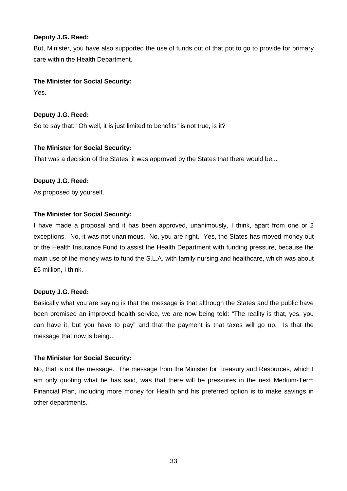But, Minister, you have also supported the use of funds out of that pot to go to provide for primary care within the Health Department.

# **The Minister for Social Security:**

Yes.

#### **Deputy J.G. Reed:**

So to say that: "Oh well, it is just limited to benefits" is not true, is it?

#### **The Minister for Social Security:**

That was a decision of the States, it was approved by the States that there would be...

#### **Deputy J.G. Reed:**

As proposed by yourself.

#### **The Minister for Social Security:**

I have made a proposal and it has been approved, unanimously, I think, apart from one or 2 exceptions. No, it was not unanimous. No, you are right. Yes, the States has moved money out of the Health Insurance Fund to assist the Health Department with funding pressure, because the main use of the money was to fund the S.L.A. with family nursing and healthcare, which was about £5 million, I think.

#### **Deputy J.G. Reed:**

Basically what you are saying is that the message is that although the States and the public have been promised an improved health service, we are now being told: "The reality is that, yes, you can have it, but you have to pay" and that the payment is that taxes will go up. Is that the message that now is being...

# **The Minister for Social Security:**

No, that is not the message. The message from the Minister for Treasury and Resources, which I am only quoting what he has said, was that there will be pressures in the next Medium-Term Financial Plan, including more money for Health and his preferred option is to make savings in other departments.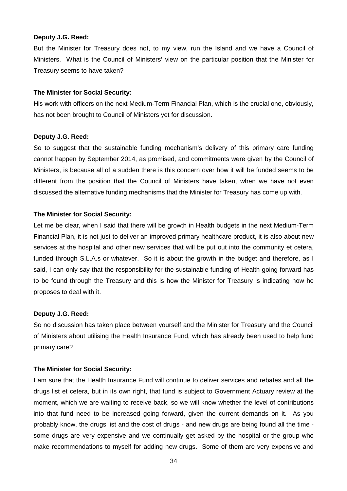But the Minister for Treasury does not, to my view, run the Island and we have a Council of Ministers. What is the Council of Ministers' view on the particular position that the Minister for Treasury seems to have taken?

#### **The Minister for Social Security:**

His work with officers on the next Medium-Term Financial Plan, which is the crucial one, obviously, has not been brought to Council of Ministers yet for discussion.

#### **Deputy J.G. Reed:**

So to suggest that the sustainable funding mechanism's delivery of this primary care funding cannot happen by September 2014, as promised, and commitments were given by the Council of Ministers, is because all of a sudden there is this concern over how it will be funded seems to be different from the position that the Council of Ministers have taken, when we have not even discussed the alternative funding mechanisms that the Minister for Treasury has come up with.

#### **The Minister for Social Security:**

Let me be clear, when I said that there will be growth in Health budgets in the next Medium-Term Financial Plan, it is not just to deliver an improved primary healthcare product, it is also about new services at the hospital and other new services that will be put out into the community et cetera, funded through S.L.A.s or whatever. So it is about the growth in the budget and therefore, as I said, I can only say that the responsibility for the sustainable funding of Health going forward has to be found through the Treasury and this is how the Minister for Treasury is indicating how he proposes to deal with it.

#### **Deputy J.G. Reed:**

So no discussion has taken place between yourself and the Minister for Treasury and the Council of Ministers about utilising the Health Insurance Fund, which has already been used to help fund primary care?

#### **The Minister for Social Security:**

I am sure that the Health Insurance Fund will continue to deliver services and rebates and all the drugs list et cetera, but in its own right, that fund is subject to Government Actuary review at the moment, which we are waiting to receive back, so we will know whether the level of contributions into that fund need to be increased going forward, given the current demands on it. As you probably know, the drugs list and the cost of drugs - and new drugs are being found all the time some drugs are very expensive and we continually get asked by the hospital or the group who make recommendations to myself for adding new drugs. Some of them are very expensive and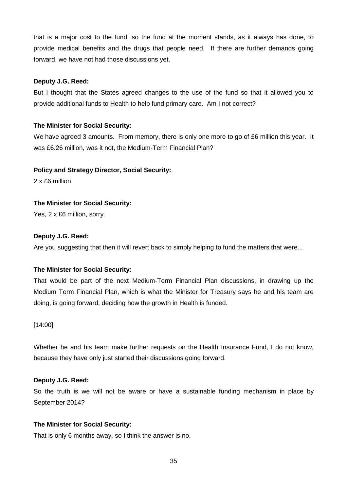that is a major cost to the fund, so the fund at the moment stands, as it always has done, to provide medical benefits and the drugs that people need. If there are further demands going forward, we have not had those discussions yet.

#### **Deputy J.G. Reed:**

But I thought that the States agreed changes to the use of the fund so that it allowed you to provide additional funds to Health to help fund primary care. Am I not correct?

#### **The Minister for Social Security:**

We have agreed 3 amounts. From memory, there is only one more to go of £6 million this year. It was £6.26 million, was it not, the Medium-Term Financial Plan?

#### **Policy and Strategy Director, Social Security:**

2 x £6 million

#### **The Minister for Social Security:**

Yes, 2 x £6 million, sorry.

#### **Deputy J.G. Reed:**

Are you suggesting that then it will revert back to simply helping to fund the matters that were...

#### **The Minister for Social Security:**

That would be part of the next Medium-Term Financial Plan discussions, in drawing up the Medium Term Financial Plan, which is what the Minister for Treasury says he and his team are doing, is going forward, deciding how the growth in Health is funded.

#### [14:00]

Whether he and his team make further requests on the Health Insurance Fund, I do not know, because they have only just started their discussions going forward.

#### **Deputy J.G. Reed:**

So the truth is we will not be aware or have a sustainable funding mechanism in place by September 2014?

#### **The Minister for Social Security:**

That is only 6 months away, so I think the answer is no.